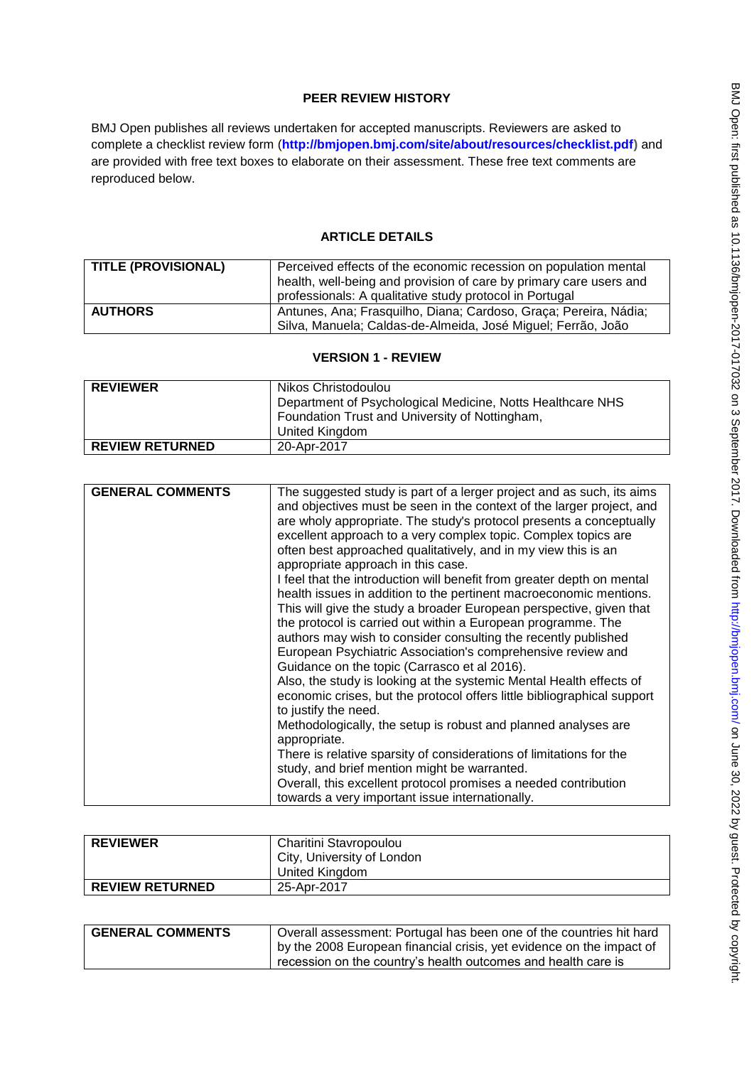# **PEER REVIEW HISTORY**

BMJ Open publishes all reviews undertaken for accepted manuscripts. Reviewers are asked to complete a checklist review form (**[http://bmjopen.bmj.com/site/about/resources/checklist.pdf\)](http://bmjopen.bmj.com/site/about/resources/checklist.pdf)** and are provided with free text boxes to elaborate on their assessment. These free text comments are reproduced below.

## **ARTICLE DETAILS**

| <b>TITLE (PROVISIONAL)</b> | Perceived effects of the economic recession on population mental<br>health, well-being and provision of care by primary care users and<br>professionals: A qualitative study protocol in Portugal |
|----------------------------|---------------------------------------------------------------------------------------------------------------------------------------------------------------------------------------------------|
| <b>AUTHORS</b>             | Antunes, Ana; Frasquilho, Diana; Cardoso, Graça; Pereira, Nádia;<br>Silva, Manuela; Caldas-de-Almeida, José Miguel; Ferrão, João                                                                  |

#### **VERSION 1 - REVIEW**

| <b>REVIEWER</b>        | Nikos Christodoulou<br>Department of Psychological Medicine, Notts Healthcare NHS<br>Foundation Trust and University of Nottingham,<br>United Kingdom |
|------------------------|-------------------------------------------------------------------------------------------------------------------------------------------------------|
|                        |                                                                                                                                                       |
| <b>REVIEW RETURNED</b> | 20-Apr-2017                                                                                                                                           |

| <b>GENERAL COMMENTS</b> | The suggested study is part of a lerger project and as such, its aims<br>and objectives must be seen in the context of the larger project, and<br>are wholy appropriate. The study's protocol presents a conceptually<br>excellent approach to a very complex topic. Complex topics are<br>often best approached qualitatively, and in my view this is an<br>appropriate approach in this case.<br>I feel that the introduction will benefit from greater depth on mental<br>health issues in addition to the pertinent macroeconomic mentions.<br>This will give the study a broader European perspective, given that<br>the protocol is carried out within a European programme. The<br>authors may wish to consider consulting the recently published<br>European Psychiatric Association's comprehensive review and<br>Guidance on the topic (Carrasco et al 2016).<br>Also, the study is looking at the systemic Mental Health effects of<br>economic crises, but the protocol offers little bibliographical support<br>to justify the need.<br>Methodologically, the setup is robust and planned analyses are<br>appropriate.<br>There is relative sparsity of considerations of limitations for the<br>study, and brief mention might be warranted.<br>Overall, this excellent protocol promises a needed contribution |
|-------------------------|-------------------------------------------------------------------------------------------------------------------------------------------------------------------------------------------------------------------------------------------------------------------------------------------------------------------------------------------------------------------------------------------------------------------------------------------------------------------------------------------------------------------------------------------------------------------------------------------------------------------------------------------------------------------------------------------------------------------------------------------------------------------------------------------------------------------------------------------------------------------------------------------------------------------------------------------------------------------------------------------------------------------------------------------------------------------------------------------------------------------------------------------------------------------------------------------------------------------------------------------------------------------------------------------------------------------------------|
|                         | towards a very important issue internationally.                                                                                                                                                                                                                                                                                                                                                                                                                                                                                                                                                                                                                                                                                                                                                                                                                                                                                                                                                                                                                                                                                                                                                                                                                                                                               |

| <b>REVIEWER</b>        | Charitini Stavropoulou     |
|------------------------|----------------------------|
|                        | City, University of London |
|                        | United Kingdom             |
| <b>REVIEW RETURNED</b> | 25-Apr-2017                |

| <b>GENERAL COMMENTS</b> | 'Overall assessment: Portugal has been one of the countries hit hard |
|-------------------------|----------------------------------------------------------------------|
|                         | by the 2008 European financial crisis, yet evidence on the impact of |
|                         | recession on the country's health outcomes and health care is        |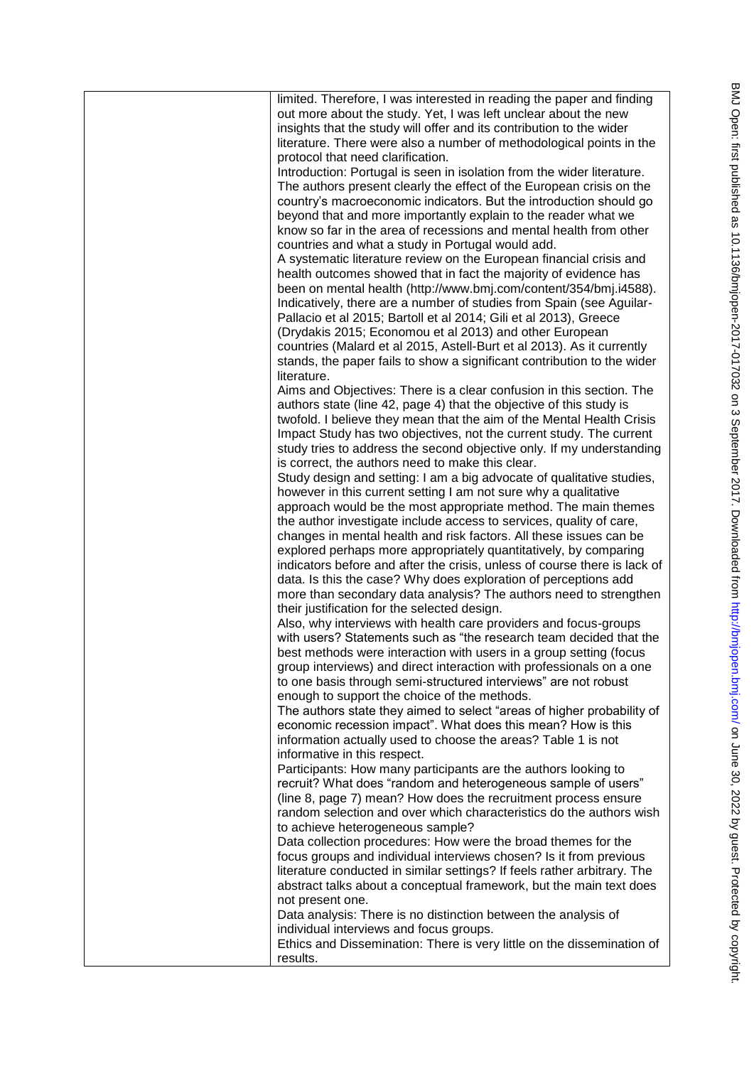| limited. Therefore, I was interested in reading the paper and finding                                                                                                                                           |
|-----------------------------------------------------------------------------------------------------------------------------------------------------------------------------------------------------------------|
| out more about the study. Yet, I was left unclear about the new<br>insights that the study will offer and its contribution to the wider<br>literature. There were also a number of methodological points in the |
| protocol that need clarification.                                                                                                                                                                               |
| Introduction: Portugal is seen in isolation from the wider literature.<br>The authors present clearly the effect of the European crisis on the                                                                  |
| country's macroeconomic indicators. But the introduction should go                                                                                                                                              |
| beyond that and more importantly explain to the reader what we<br>know so far in the area of recessions and mental health from other                                                                            |
| countries and what a study in Portugal would add.                                                                                                                                                               |
| A systematic literature review on the European financial crisis and<br>health outcomes showed that in fact the majority of evidence has                                                                         |
| been on mental health (http://www.bmj.com/content/354/bmj.i4588).<br>Indicatively, there are a number of studies from Spain (see Aguilar-                                                                       |
| Pallacio et al 2015; Bartoll et al 2014; Gili et al 2013), Greece                                                                                                                                               |
| (Drydakis 2015; Economou et al 2013) and other European                                                                                                                                                         |
| countries (Malard et al 2015, Astell-Burt et al 2013). As it currently                                                                                                                                          |
| stands, the paper fails to show a significant contribution to the wider<br>literature.                                                                                                                          |
| Aims and Objectives: There is a clear confusion in this section. The                                                                                                                                            |
| authors state (line 42, page 4) that the objective of this study is<br>twofold. I believe they mean that the aim of the Mental Health Crisis                                                                    |
| Impact Study has two objectives, not the current study. The current                                                                                                                                             |
| study tries to address the second objective only. If my understanding                                                                                                                                           |
| is correct, the authors need to make this clear.                                                                                                                                                                |
| Study design and setting: I am a big advocate of qualitative studies,<br>however in this current setting I am not sure why a qualitative                                                                        |
| approach would be the most appropriate method. The main themes                                                                                                                                                  |
| the author investigate include access to services, quality of care,                                                                                                                                             |
| changes in mental health and risk factors. All these issues can be<br>explored perhaps more appropriately quantitatively, by comparing                                                                          |
| indicators before and after the crisis, unless of course there is lack of                                                                                                                                       |
| data. Is this the case? Why does exploration of perceptions add                                                                                                                                                 |
| more than secondary data analysis? The authors need to strengthen<br>their justification for the selected design.                                                                                               |
| Also, why interviews with health care providers and focus-groups                                                                                                                                                |
| with users? Statements such as "the research team decided that the                                                                                                                                              |
| best methods were interaction with users in a group setting (focus<br>group interviews) and direct interaction with professionals on a one                                                                      |
| to one basis through semi-structured interviews" are not robust                                                                                                                                                 |
| enough to support the choice of the methods.                                                                                                                                                                    |
| The authors state they aimed to select "areas of higher probability of                                                                                                                                          |
| economic recession impact". What does this mean? How is this<br>information actually used to choose the areas? Table 1 is not                                                                                   |
| informative in this respect.                                                                                                                                                                                    |
| Participants: How many participants are the authors looking to                                                                                                                                                  |
| recruit? What does "random and heterogeneous sample of users"<br>(line 8, page 7) mean? How does the recruitment process ensure                                                                                 |
| random selection and over which characteristics do the authors wish                                                                                                                                             |
| to achieve heterogeneous sample?                                                                                                                                                                                |
| Data collection procedures: How were the broad themes for the<br>focus groups and individual interviews chosen? Is it from previous                                                                             |
| literature conducted in similar settings? If feels rather arbitrary. The                                                                                                                                        |
| abstract talks about a conceptual framework, but the main text does                                                                                                                                             |
| not present one.                                                                                                                                                                                                |
| Data analysis: There is no distinction between the analysis of<br>individual interviews and focus groups.                                                                                                       |
| Ethics and Dissemination: There is very little on the dissemination of                                                                                                                                          |
| results.                                                                                                                                                                                                        |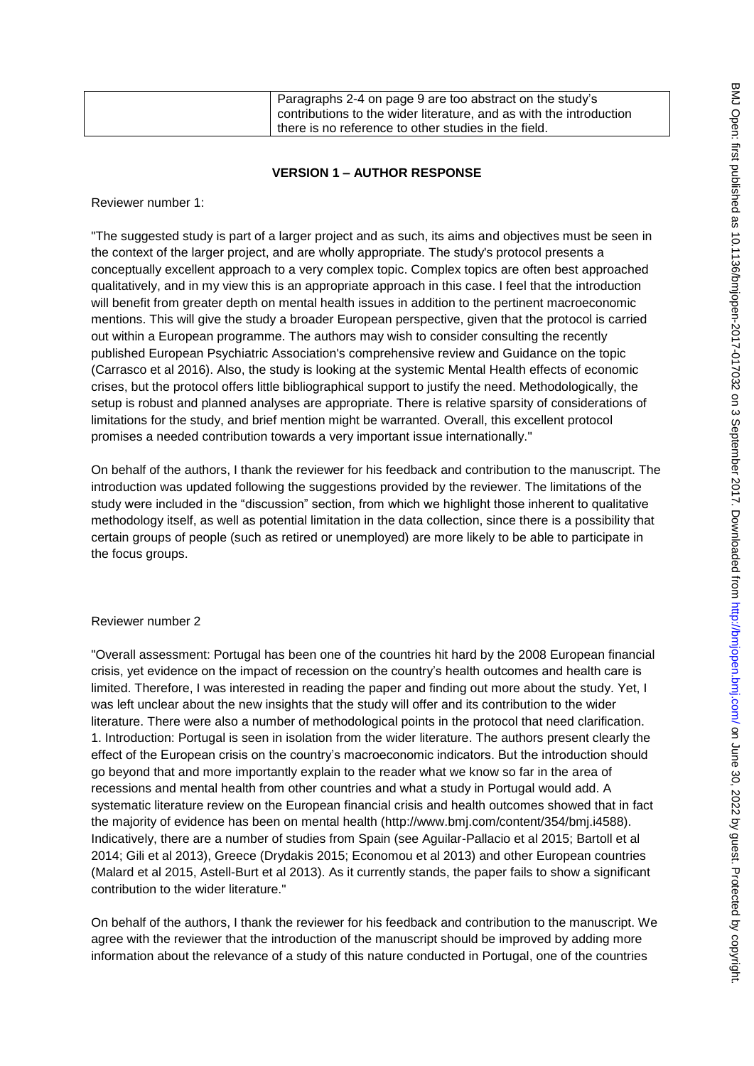|  | Paragraphs 2-4 on page 9 are too abstract on the study's<br>contributions to the wider literature, and as with the introduction<br>there is no reference to other studies in the field. |
|--|-----------------------------------------------------------------------------------------------------------------------------------------------------------------------------------------|
|--|-----------------------------------------------------------------------------------------------------------------------------------------------------------------------------------------|

## **VERSION 1 – AUTHOR RESPONSE**

#### Reviewer number 1:

"The suggested study is part of a larger project and as such, its aims and objectives must be seen in the context of the larger project, and are wholly appropriate. The study's protocol presents a conceptually excellent approach to a very complex topic. Complex topics are often best approached qualitatively, and in my view this is an appropriate approach in this case. I feel that the introduction will benefit from greater depth on mental health issues in addition to the pertinent macroeconomic mentions. This will give the study a broader European perspective, given that the protocol is carried out within a European programme. The authors may wish to consider consulting the recently published European Psychiatric Association's comprehensive review and Guidance on the topic (Carrasco et al 2016). Also, the study is looking at the systemic Mental Health effects of economic crises, but the protocol offers little bibliographical support to justify the need. Methodologically, the setup is robust and planned analyses are appropriate. There is relative sparsity of considerations of limitations for the study, and brief mention might be warranted. Overall, this excellent protocol promises a needed contribution towards a very important issue internationally."

On behalf of the authors, I thank the reviewer for his feedback and contribution to the manuscript. The introduction was updated following the suggestions provided by the reviewer. The limitations of the study were included in the "discussion" section, from which we highlight those inherent to qualitative methodology itself, as well as potential limitation in the data collection, since there is a possibility that certain groups of people (such as retired or unemployed) are more likely to be able to participate in the focus groups.

## Reviewer number 2

"Overall assessment: Portugal has been one of the countries hit hard by the 2008 European financial crisis, yet evidence on the impact of recession on the country"s health outcomes and health care is limited. Therefore, I was interested in reading the paper and finding out more about the study. Yet, I was left unclear about the new insights that the study will offer and its contribution to the wider literature. There were also a number of methodological points in the protocol that need clarification. 1. Introduction: Portugal is seen in isolation from the wider literature. The authors present clearly the effect of the European crisis on the country"s macroeconomic indicators. But the introduction should go beyond that and more importantly explain to the reader what we know so far in the area of recessions and mental health from other countries and what a study in Portugal would add. A systematic literature review on the European financial crisis and health outcomes showed that in fact the majority of evidence has been on mental health (http://www.bmj.com/content/354/bmj.i4588). Indicatively, there are a number of studies from Spain (see Aguilar-Pallacio et al 2015; Bartoll et al 2014; Gili et al 2013), Greece (Drydakis 2015; Economou et al 2013) and other European countries (Malard et al 2015, Astell-Burt et al 2013). As it currently stands, the paper fails to show a significant contribution to the wider literature."

On behalf of the authors, I thank the reviewer for his feedback and contribution to the manuscript. We agree with the reviewer that the introduction of the manuscript should be improved by adding more information about the relevance of a study of this nature conducted in Portugal, one of the countries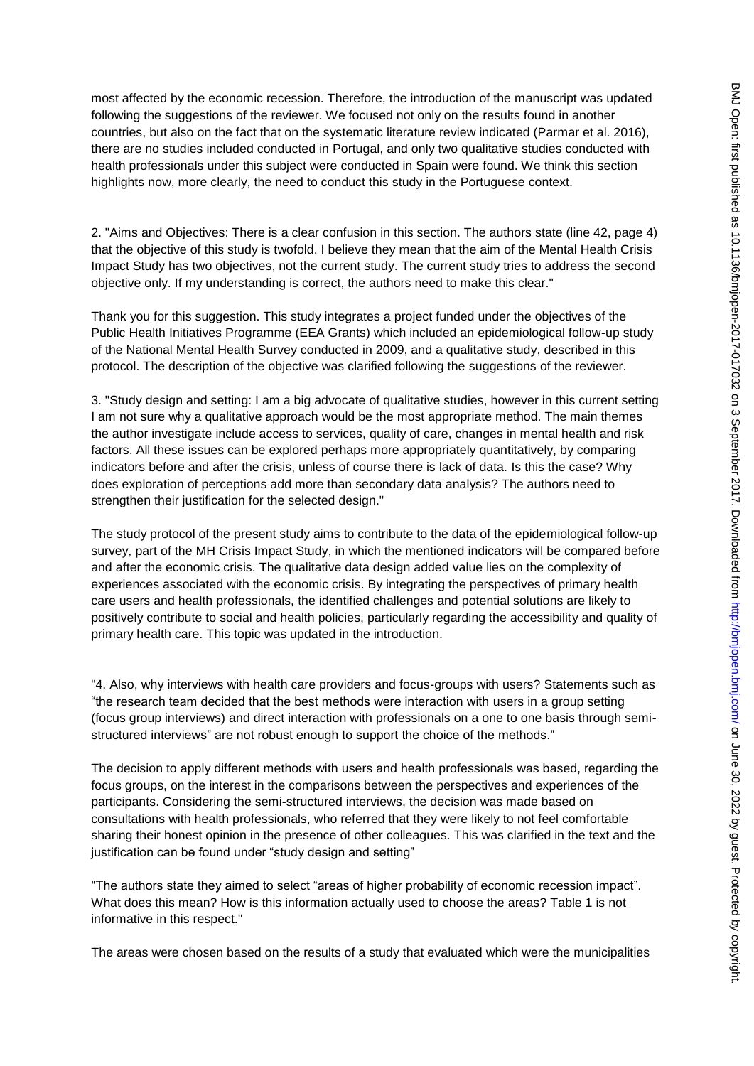most affected by the economic recession. Therefore, the introduction of the manuscript was updated following the suggestions of the reviewer. We focused not only on the results found in another countries, but also on the fact that on the systematic literature review indicated (Parmar et al. 2016), there are no studies included conducted in Portugal, and only two qualitative studies conducted with health professionals under this subject were conducted in Spain were found. We think this section highlights now, more clearly, the need to conduct this study in the Portuguese context.

2. "Aims and Objectives: There is a clear confusion in this section. The authors state (line 42, page 4) that the objective of this study is twofold. I believe they mean that the aim of the Mental Health Crisis Impact Study has two objectives, not the current study. The current study tries to address the second objective only. If my understanding is correct, the authors need to make this clear."

Thank you for this suggestion. This study integrates a project funded under the objectives of the Public Health Initiatives Programme (EEA Grants) which included an epidemiological follow-up study of the National Mental Health Survey conducted in 2009, and a qualitative study, described in this protocol. The description of the objective was clarified following the suggestions of the reviewer.

3. "Study design and setting: I am a big advocate of qualitative studies, however in this current setting I am not sure why a qualitative approach would be the most appropriate method. The main themes the author investigate include access to services, quality of care, changes in mental health and risk factors. All these issues can be explored perhaps more appropriately quantitatively, by comparing indicators before and after the crisis, unless of course there is lack of data. Is this the case? Why does exploration of perceptions add more than secondary data analysis? The authors need to strengthen their justification for the selected design."

The study protocol of the present study aims to contribute to the data of the epidemiological follow-up survey, part of the MH Crisis Impact Study, in which the mentioned indicators will be compared before and after the economic crisis. The qualitative data design added value lies on the complexity of experiences associated with the economic crisis. By integrating the perspectives of primary health care users and health professionals, the identified challenges and potential solutions are likely to positively contribute to social and health policies, particularly regarding the accessibility and quality of primary health care. This topic was updated in the introduction.

"4. Also, why interviews with health care providers and focus-groups with users? Statements such as "the research team decided that the best methods were interaction with users in a group setting (focus group interviews) and direct interaction with professionals on a one to one basis through semistructured interviews" are not robust enough to support the choice of the methods."

The decision to apply different methods with users and health professionals was based, regarding the focus groups, on the interest in the comparisons between the perspectives and experiences of the participants. Considering the semi-structured interviews, the decision was made based on consultations with health professionals, who referred that they were likely to not feel comfortable sharing their honest opinion in the presence of other colleagues. This was clarified in the text and the justification can be found under "study design and setting"

"The authors state they aimed to select "areas of higher probability of economic recession impact". What does this mean? How is this information actually used to choose the areas? Table 1 is not informative in this respect."

The areas were chosen based on the results of a study that evaluated which were the municipalities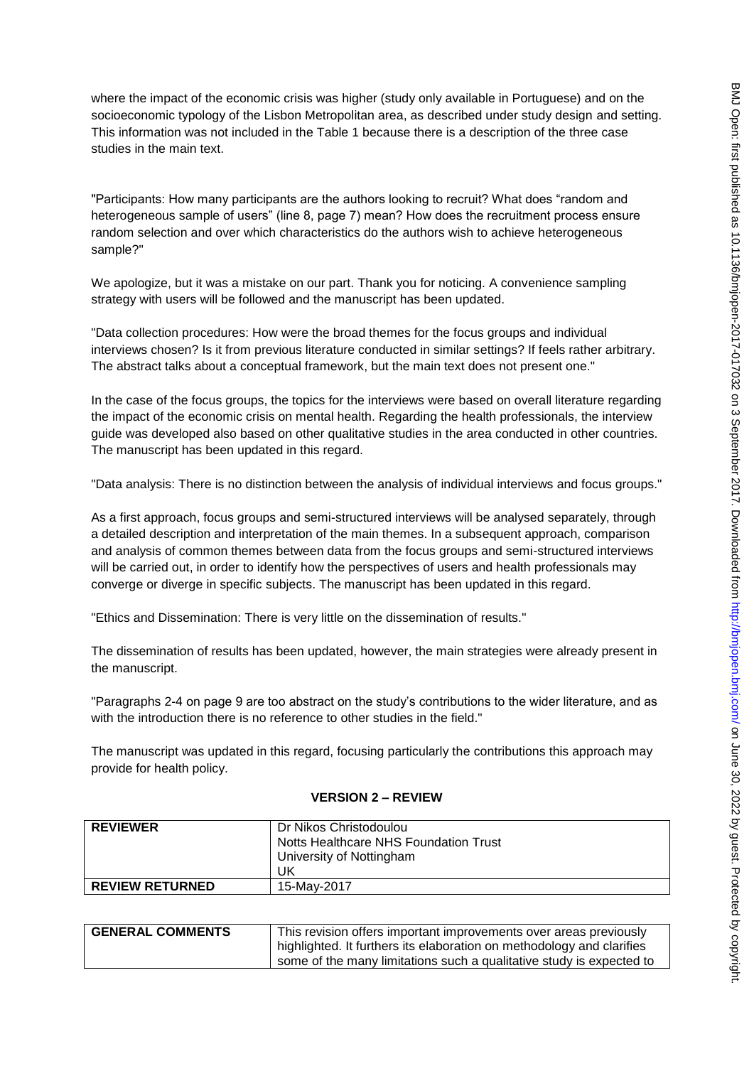where the impact of the economic crisis was higher (study only available in Portuguese) and on the socioeconomic typology of the Lisbon Metropolitan area, as described under study design and setting. This information was not included in the Table 1 because there is a description of the three case studies in the main text.

"Participants: How many participants are the authors looking to recruit? What does "random and heterogeneous sample of users" (line 8, page 7) mean? How does the recruitment process ensure random selection and over which characteristics do the authors wish to achieve heterogeneous sample?"

We apologize, but it was a mistake on our part. Thank you for noticing. A convenience sampling strategy with users will be followed and the manuscript has been updated.

"Data collection procedures: How were the broad themes for the focus groups and individual interviews chosen? Is it from previous literature conducted in similar settings? If feels rather arbitrary. The abstract talks about a conceptual framework, but the main text does not present one."

In the case of the focus groups, the topics for the interviews were based on overall literature regarding the impact of the economic crisis on mental health. Regarding the health professionals, the interview guide was developed also based on other qualitative studies in the area conducted in other countries. The manuscript has been updated in this regard.

"Data analysis: There is no distinction between the analysis of individual interviews and focus groups."

As a first approach, focus groups and semi-structured interviews will be analysed separately, through a detailed description and interpretation of the main themes. In a subsequent approach, comparison and analysis of common themes between data from the focus groups and semi-structured interviews will be carried out, in order to identify how the perspectives of users and health professionals may converge or diverge in specific subjects. The manuscript has been updated in this regard.

"Ethics and Dissemination: There is very little on the dissemination of results."

The dissemination of results has been updated, however, the main strategies were already present in the manuscript.

"Paragraphs 2-4 on page 9 are too abstract on the study"s contributions to the wider literature, and as with the introduction there is no reference to other studies in the field."

The manuscript was updated in this regard, focusing particularly the contributions this approach may provide for health policy.

#### **VERSION 2 – REVIEW**

| <b>REVIEWER</b>        | Dr Nikos Christodoulou                |
|------------------------|---------------------------------------|
|                        | Notts Healthcare NHS Foundation Trust |
|                        | University of Nottingham              |
|                        | UK                                    |
| <b>REVIEW RETURNED</b> | 15-May-2017                           |

| <b>GENERAL COMMENTS</b> | This revision offers important improvements over areas previously     |
|-------------------------|-----------------------------------------------------------------------|
|                         | highlighted. It furthers its elaboration on methodology and clarifies |
|                         | some of the many limitations such a qualitative study is expected to  |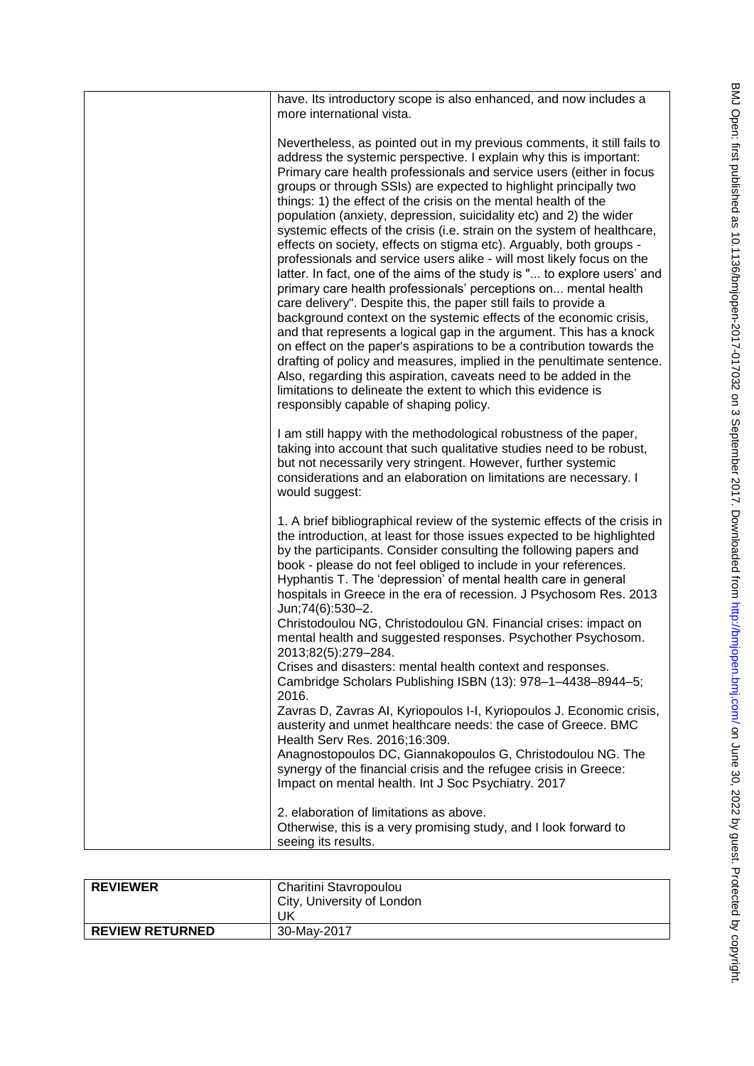| have. Its introductory scope is also enhanced, and now includes a<br>more international vista.                                                                                                                                                                                                                                                                                                                                                                                                                                                                                                                                                                                                                                                                                                                                                                                                                                                                                                                                                                                                                                                                                                                                                                                                                                                                   |
|------------------------------------------------------------------------------------------------------------------------------------------------------------------------------------------------------------------------------------------------------------------------------------------------------------------------------------------------------------------------------------------------------------------------------------------------------------------------------------------------------------------------------------------------------------------------------------------------------------------------------------------------------------------------------------------------------------------------------------------------------------------------------------------------------------------------------------------------------------------------------------------------------------------------------------------------------------------------------------------------------------------------------------------------------------------------------------------------------------------------------------------------------------------------------------------------------------------------------------------------------------------------------------------------------------------------------------------------------------------|
| Nevertheless, as pointed out in my previous comments, it still fails to<br>address the systemic perspective. I explain why this is important:<br>Primary care health professionals and service users (either in focus<br>groups or through SSIs) are expected to highlight principally two<br>things: 1) the effect of the crisis on the mental health of the<br>population (anxiety, depression, suicidality etc) and 2) the wider<br>systemic effects of the crisis (i.e. strain on the system of healthcare,<br>effects on society, effects on stigma etc). Arguably, both groups -<br>professionals and service users alike - will most likely focus on the<br>latter. In fact, one of the aims of the study is " to explore users' and<br>primary care health professionals' perceptions on mental health<br>care delivery". Despite this, the paper still fails to provide a<br>background context on the systemic effects of the economic crisis,<br>and that represents a logical gap in the argument. This has a knock<br>on effect on the paper's aspirations to be a contribution towards the<br>drafting of policy and measures, implied in the penultimate sentence.<br>Also, regarding this aspiration, caveats need to be added in the<br>limitations to delineate the extent to which this evidence is<br>responsibly capable of shaping policy. |
| I am still happy with the methodological robustness of the paper,<br>taking into account that such qualitative studies need to be robust,<br>but not necessarily very stringent. However, further systemic<br>considerations and an elaboration on limitations are necessary. I<br>would suggest:                                                                                                                                                                                                                                                                                                                                                                                                                                                                                                                                                                                                                                                                                                                                                                                                                                                                                                                                                                                                                                                                |
| 1. A brief bibliographical review of the systemic effects of the crisis in<br>the introduction, at least for those issues expected to be highlighted<br>by the participants. Consider consulting the following papers and<br>book - please do not feel obliged to include in your references.<br>Hyphantis T. The 'depression' of mental health care in general<br>hospitals in Greece in the era of recession. J Psychosom Res. 2013<br>Jun;74(6):530-2.<br>Christodoulou NG, Christodoulou GN. Financial crises: impact on<br>mental health and suggested responses. Psychother Psychosom.<br>2013;82(5):279-284.<br>Crises and disasters: mental health context and responses.                                                                                                                                                                                                                                                                                                                                                                                                                                                                                                                                                                                                                                                                                |
| Cambridge Scholars Publishing ISBN (13): 978-1-4438-8944-5;<br>2016.<br>Zavras D, Zavras AI, Kyriopoulos I-I, Kyriopoulos J. Economic crisis,<br>austerity and unmet healthcare needs: the case of Greece. BMC<br>Health Serv Res. 2016;16:309.<br>Anagnostopoulos DC, Giannakopoulos G, Christodoulou NG. The<br>synergy of the financial crisis and the refugee crisis in Greece:<br>Impact on mental health. Int J Soc Psychiatry. 2017                                                                                                                                                                                                                                                                                                                                                                                                                                                                                                                                                                                                                                                                                                                                                                                                                                                                                                                       |
| 2. elaboration of limitations as above.<br>Otherwise, this is a very promising study, and I look forward to<br>seeing its results.                                                                                                                                                                                                                                                                                                                                                                                                                                                                                                                                                                                                                                                                                                                                                                                                                                                                                                                                                                                                                                                                                                                                                                                                                               |

| <b>REVIEWER</b>        | Charitini Stavropoulou<br>City, University of London |
|------------------------|------------------------------------------------------|
|                        | UK                                                   |
| <b>REVIEW RETURNED</b> | 30-May-2017                                          |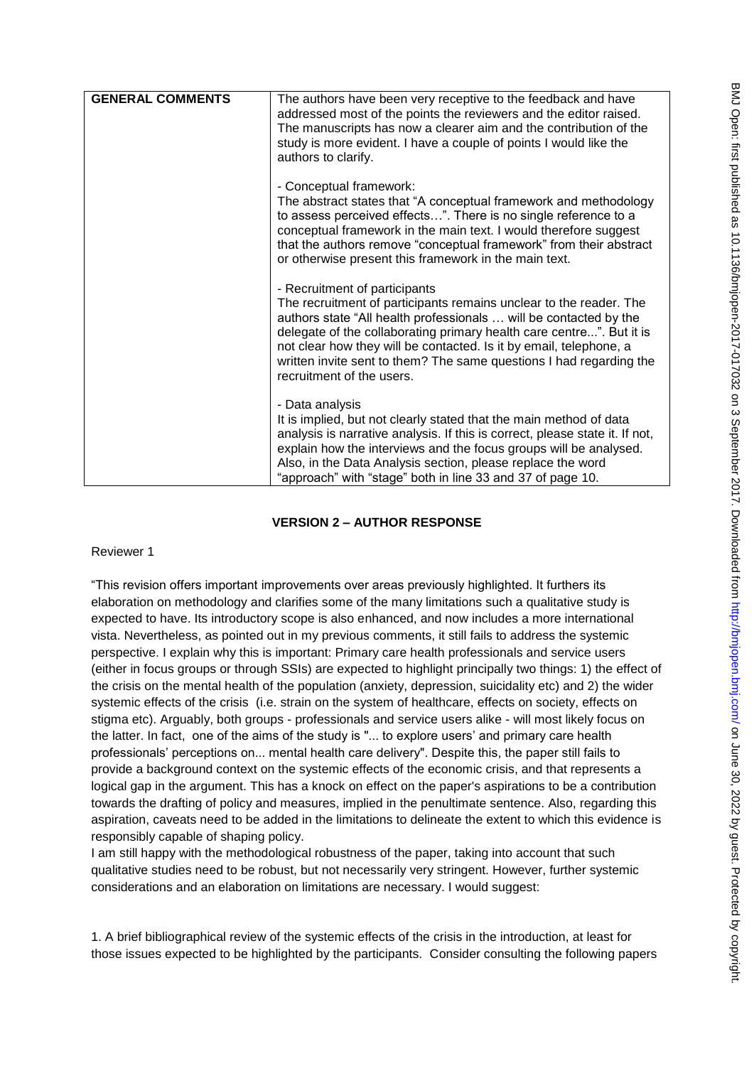| <b>GENERAL COMMENTS</b> | The authors have been very receptive to the feedback and have<br>addressed most of the points the reviewers and the editor raised.<br>The manuscripts has now a clearer aim and the contribution of the<br>study is more evident. I have a couple of points I would like the<br>authors to clarify.                                                                                                                        |
|-------------------------|----------------------------------------------------------------------------------------------------------------------------------------------------------------------------------------------------------------------------------------------------------------------------------------------------------------------------------------------------------------------------------------------------------------------------|
|                         | - Conceptual framework:<br>The abstract states that "A conceptual framework and methodology<br>to assess perceived effects". There is no single reference to a<br>conceptual framework in the main text. I would therefore suggest<br>that the authors remove "conceptual framework" from their abstract<br>or otherwise present this framework in the main text.                                                          |
|                         | - Recruitment of participants<br>The recruitment of participants remains unclear to the reader. The<br>authors state "All health professionals  will be contacted by the<br>delegate of the collaborating primary health care centre". But it is<br>not clear how they will be contacted. Is it by email, telephone, a<br>written invite sent to them? The same questions I had regarding the<br>recruitment of the users. |
|                         | - Data analysis<br>It is implied, but not clearly stated that the main method of data<br>analysis is narrative analysis. If this is correct, please state it. If not,<br>explain how the interviews and the focus groups will be analysed.<br>Also, in the Data Analysis section, please replace the word<br>"approach" with "stage" both in line 33 and 37 of page 10.                                                    |

## **VERSION 2 – AUTHOR RESPONSE**

Reviewer 1

"This revision offers important improvements over areas previously highlighted. It furthers its elaboration on methodology and clarifies some of the many limitations such a qualitative study is expected to have. Its introductory scope is also enhanced, and now includes a more international vista. Nevertheless, as pointed out in my previous comments, it still fails to address the systemic perspective. I explain why this is important: Primary care health professionals and service users (either in focus groups or through SSIs) are expected to highlight principally two things: 1) the effect of the crisis on the mental health of the population (anxiety, depression, suicidality etc) and 2) the wider systemic effects of the crisis (i.e. strain on the system of healthcare, effects on society, effects on stigma etc). Arguably, both groups - professionals and service users alike - will most likely focus on the latter. In fact, one of the aims of the study is "... to explore users" and primary care health professionals" perceptions on... mental health care delivery". Despite this, the paper still fails to provide a background context on the systemic effects of the economic crisis, and that represents a logical gap in the argument. This has a knock on effect on the paper's aspirations to be a contribution towards the drafting of policy and measures, implied in the penultimate sentence. Also, regarding this aspiration, caveats need to be added in the limitations to delineate the extent to which this evidence is responsibly capable of shaping policy.

I am still happy with the methodological robustness of the paper, taking into account that such qualitative studies need to be robust, but not necessarily very stringent. However, further systemic considerations and an elaboration on limitations are necessary. I would suggest:

1. A brief bibliographical review of the systemic effects of the crisis in the introduction, at least for those issues expected to be highlighted by the participants. Consider consulting the following papers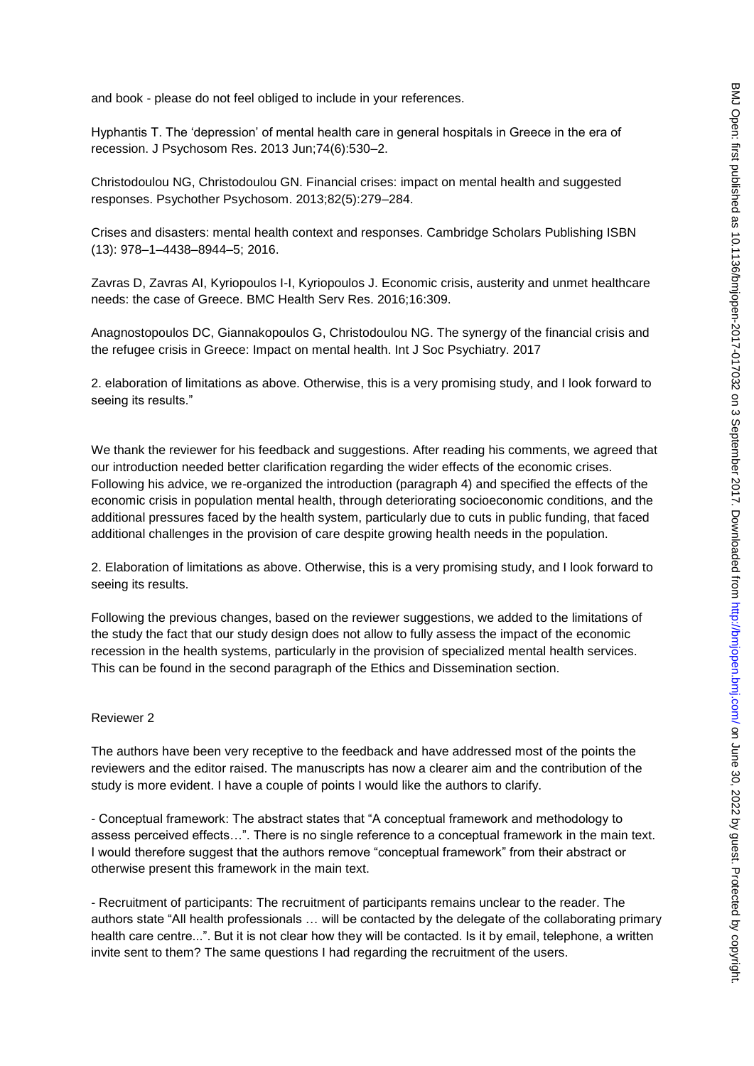and book - please do not feel obliged to include in your references.

Hyphantis T. The "depression" of mental health care in general hospitals in Greece in the era of recession. J Psychosom Res. 2013 Jun;74(6):530–2.

Christodoulou NG, Christodoulou GN. Financial crises: impact on mental health and suggested responses. Psychother Psychosom. 2013;82(5):279–284.

Crises and disasters: mental health context and responses. Cambridge Scholars Publishing ISBN (13): 978–1–4438–8944–5; 2016.

Zavras D, Zavras AI, Kyriopoulos I-I, Kyriopoulos J. Economic crisis, austerity and unmet healthcare needs: the case of Greece. BMC Health Serv Res. 2016;16:309.

Anagnostopoulos DC, Giannakopoulos G, Christodoulou NG. The synergy of the financial crisis and the refugee crisis in Greece: Impact on mental health. Int J Soc Psychiatry. 2017

2. elaboration of limitations as above. Otherwise, this is a very promising study, and I look forward to seeing its results."

We thank the reviewer for his feedback and suggestions. After reading his comments, we agreed that our introduction needed better clarification regarding the wider effects of the economic crises. Following his advice, we re-organized the introduction (paragraph 4) and specified the effects of the economic crisis in population mental health, through deteriorating socioeconomic conditions, and the additional pressures faced by the health system, particularly due to cuts in public funding, that faced additional challenges in the provision of care despite growing health needs in the population.

2. Elaboration of limitations as above. Otherwise, this is a very promising study, and I look forward to seeing its results.

Following the previous changes, based on the reviewer suggestions, we added to the limitations of the study the fact that our study design does not allow to fully assess the impact of the economic recession in the health systems, particularly in the provision of specialized mental health services. This can be found in the second paragraph of the Ethics and Dissemination section.

#### Reviewer 2

The authors have been very receptive to the feedback and have addressed most of the points the reviewers and the editor raised. The manuscripts has now a clearer aim and the contribution of the study is more evident. I have a couple of points I would like the authors to clarify.

- Conceptual framework: The abstract states that "A conceptual framework and methodology to assess perceived effects…". There is no single reference to a conceptual framework in the main text. I would therefore suggest that the authors remove "conceptual framework" from their abstract or otherwise present this framework in the main text.

- Recruitment of participants: The recruitment of participants remains unclear to the reader. The authors state "All health professionals … will be contacted by the delegate of the collaborating primary health care centre...". But it is not clear how they will be contacted. Is it by email, telephone, a written invite sent to them? The same questions I had regarding the recruitment of the users.